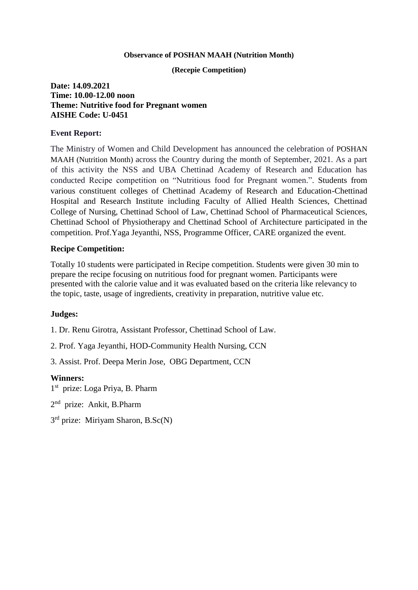#### **Observance of POSHAN MAAH (Nutrition Month)**

### **(Recepie Competition)**

# **Date: 14.09.2021 Time: 10.00-12.00 noon Theme: Nutritive food for Pregnant women AISHE Code: U-0451**

# **Event Report:**

The Ministry of Women and Child Development has announced the celebration of POSHAN MAAH (Nutrition Month) across the Country during the month of September, 2021. As a part of this activity the NSS and UBA Chettinad Academy of Research and Education has conducted Recipe competition on "Nutritious food for Pregnant women.". Students from various constituent colleges of Chettinad Academy of Research and Education-Chettinad Hospital and Research Institute including Faculty of Allied Health Sciences, Chettinad College of Nursing, Chettinad School of Law, Chettinad School of Pharmaceutical Sciences, Chettinad School of Physiotherapy and Chettinad School of Architecture participated in the competition. Prof.Yaga Jeyanthi, NSS, Programme Officer, CARE organized the event.

# **Recipe Competition:**

Totally 10 students were participated in Recipe competition. Students were given 30 min to prepare the recipe focusing on nutritious food for pregnant women. Participants were presented with the calorie value and it was evaluated based on the criteria like relevancy to the topic, taste, usage of ingredients, creativity in preparation, nutritive value etc.

# **Judges:**

1. Dr. Renu Girotra, Assistant Professor, Chettinad School of Law.

2. Prof. Yaga Jeyanthi, HOD-Community Health Nursing, CCN

3. Assist. Prof. Deepa Merin Jose, OBG Department, CCN

# **Winners:**

1 st prize: Loga Priya, B. Pharm

2<sup>nd</sup> prize: Ankit, B.Pharm

3<sup>rd</sup> prize: Miriyam Sharon, B.Sc(N)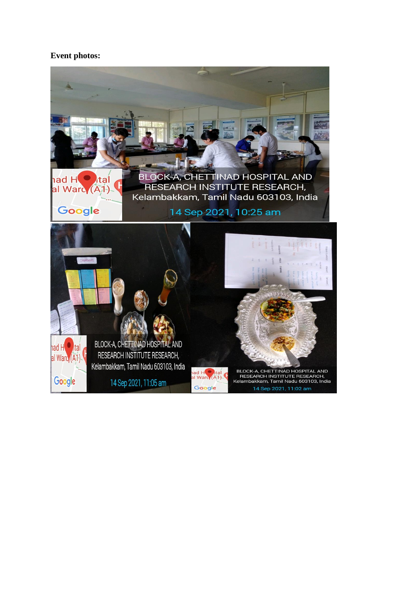# **Event photos:**